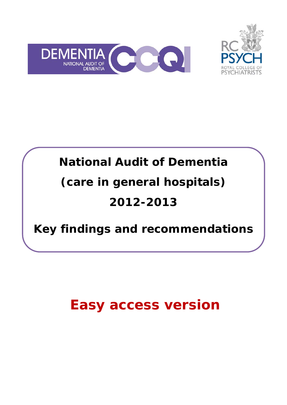



# **National Audit of Dementia (care in general hospitals) 2012-2013**

# **Key findings and recommendations**

# **Easy access version**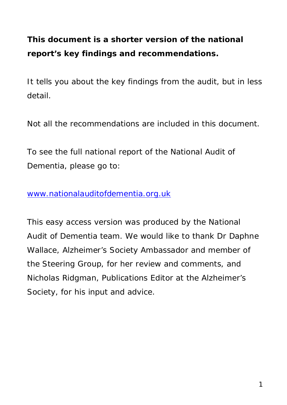# **This document is a shorter version of the national report's key findings and recommendations.**

It tells you about the key findings from the audit, but in less detail.

Not all the recommendations are included in this document.

To see the full national report of the National Audit of Dementia, please go to:

#### [www.nationalauditofdementia.org.uk](http://www.nationalauditofdementia.org.uk/)

This easy access version was produced by the National Audit of Dementia team. We would like to thank Dr Daphne Wallace, Alzheimer's Society Ambassador and member of the Steering Group, for her review and comments, and Nicholas Ridgman, Publications Editor at the Alzheimer's Society, for his input and advice.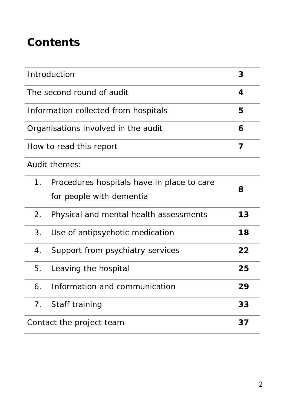# **Contents**

| Introduction                         |                                            | 3  |  |
|--------------------------------------|--------------------------------------------|----|--|
| The second round of audit            |                                            | 4  |  |
| Information collected from hospitals |                                            |    |  |
| Organisations involved in the audit  |                                            |    |  |
| How to read this report              |                                            |    |  |
| Audit themes:                        |                                            |    |  |
| $1_{\cdot}$                          | Procedures hospitals have in place to care | 8  |  |
|                                      | for people with dementia                   |    |  |
| 2.                                   | Physical and mental health assessments     | 13 |  |
| 3.                                   | Use of antipsychotic medication            | 18 |  |
| 4.                                   | Support from psychiatry services           | 22 |  |
| 5.                                   | Leaving the hospital                       | 25 |  |
| 6.                                   | Information and communication              | 29 |  |
| 7.                                   | Staff training                             | 33 |  |
| Contact the project team<br>37       |                                            |    |  |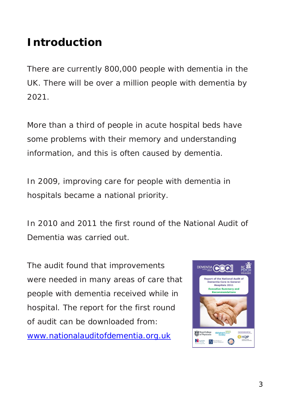# **Introduction**

There are currently 800,000 people with dementia in the UK. There will be over a million people with dementia by 2021.

More than a third of people in acute hospital beds have some problems with their memory and understanding information, and this is often caused by dementia.

In 2009, improving care for people with dementia in hospitals became a national priority.

In 2010 and 2011 the first round of the National Audit of Dementia was carried out.

The audit found that improvements were needed in many areas of care that people with dementia received while in hospital. The report for the first round of audit can be downloaded from: [www.nationalauditofdementia.org.uk](http://www.nationalauditofdementia.org.uk/)

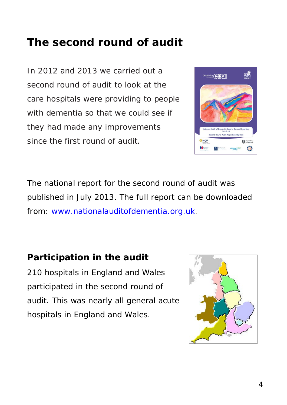# **The second round of audit**

In 2012 and 2013 we carried out a second round of audit to look at the care hospitals were providing to people with dementia so that we could see if they had made any improvements since the first round of audit.



The national report for the second round of audit was published in July 2013. The full report can be downloaded from: [www.nationalauditofdementia.org.uk.](http://www.nationalauditofdementia.org.uk/)

### **Participation in the audit**

210 hospitals in England and Wales participated in the second round of audit. This was nearly all general acute hospitals in England and Wales.

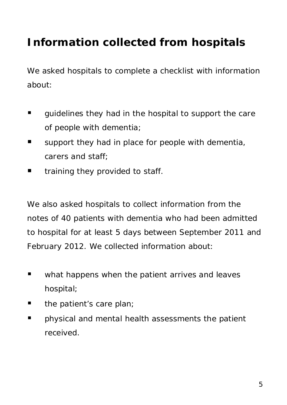# **Information collected from hospitals**

We asked hospitals to complete a checklist with information about:

- quidelines they had in the hospital to support the care of people with dementia;
- support they had in place for people with dementia, carers and staff;
- **The Indumilary in the value of the Vital** to staff.

We also asked hospitals to collect information from the notes of 40 patients with dementia who had been admitted to hospital for at least 5 days between September 2011 and February 2012. We collected information about:

- **Now what happens when the patient arrives and leaves** hospital;
- $\blacksquare$  the patient's care plan;
- **Physical and mental health assessments the patient** received.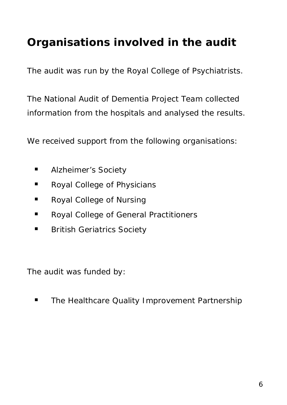# **Organisations involved in the audit**

The audit was run by the Royal College of Psychiatrists.

The National Audit of Dementia Project Team collected information from the hospitals and analysed the results.

We received support from the following organisations:

- **Alzheimer's Society**
- **Royal College of Physicians**
- Royal College of Nursing
- **Royal College of General Practitioners**
- **British Geriatrics Society**

The audit was funded by:

**The Healthcare Quality Improvement Partnership**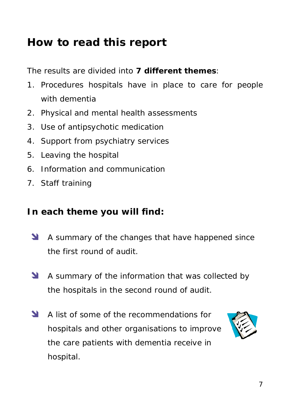# **How to read this report**

The results are divided into **7 different themes**:

- 1. Procedures hospitals have in place to care for people with dementia
- 2. Physical and mental health assessments
- 3. Use of antipsychotic medication
- 4. Support from psychiatry services
- 5. Leaving the hospital
- 6. Information and communication
- 7. Staff training

### **In each theme you will find:**

- A summary of the changes that have happened since the first round of audit.
- A summary of the information that was collected by the hospitals in the second round of audit.
- A list of some of the recommendations for hospitals and other organisations to improve the care patients with dementia receive in hospital.

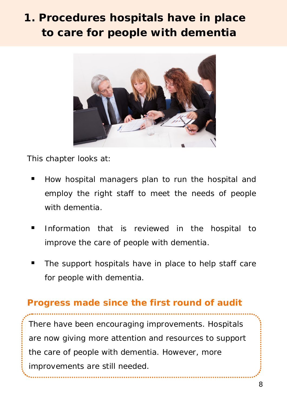# **1. Procedures hospitals have in place to care for people with dementia**



This chapter looks at:

- How hospital managers plan to run the hospital and employ the right staff to meet the needs of people with dementia.
- Information that is reviewed in the hospital to improve the care of people with dementia.
- The support hospitals have in place to help staff care for people with dementia.

#### **Progress made since the first round of audit**

There have been encouraging improvements. Hospitals are now giving more attention and resources to support the care of people with dementia. However, more improvements are still needed.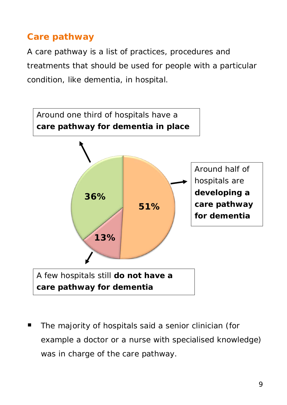### **Care pathway**

A care pathway is a list of practices, procedures and treatments that should be used for people with a particular condition, like dementia, in hospital.



 The majority of hospitals said a senior clinician (for example a doctor or a nurse with specialised knowledge) was in charge of the care pathway.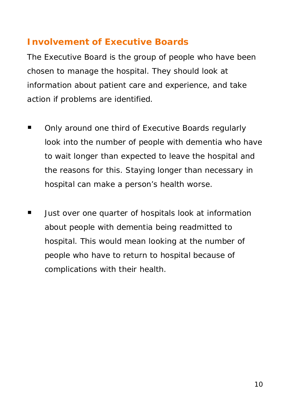#### **Involvement of Executive Boards**

The Executive Board is the group of people who have been chosen to manage the hospital. They should look at information about patient care and experience, and take action if problems are identified.

- Only around one third of Executive Boards regularly look into the number of people with dementia who have to wait longer than expected to leave the hospital and the reasons for this. Staying longer than necessary in hospital can make a person's health worse.
- **URED** Just over one quarter of hospitals look at information about people with dementia being readmitted to hospital. This would mean looking at the number of people who have to return to hospital because of complications with their health.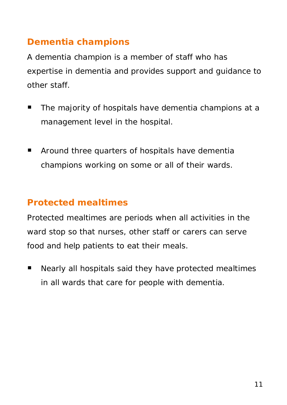### **Dementia champions**

A dementia champion is a member of staff who has expertise in dementia and provides support and guidance to other staff.

- The majority of hospitals have dementia champions at a management level in the hospital.
- **E** Around three quarters of hospitals have dementia champions working on some or all of their wards.

# **Protected mealtimes**

Protected mealtimes are periods when all activities in the ward stop so that nurses, other staff or carers can serve food and help patients to eat their meals.

■ Nearly all hospitals said they have protected mealtimes in all wards that care for people with dementia.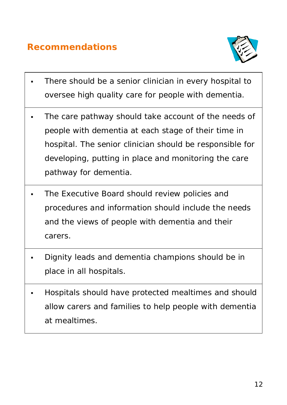### **Recommendations**



- There should be a senior clinician in every hospital to oversee high quality care for people with dementia.
- The care pathway should take account of the needs of people with dementia at each stage of their time in hospital. The senior clinician should be responsible for developing, putting in place and monitoring the care pathway for dementia.
- The Executive Board should review policies and procedures and information should include the needs and the views of people with dementia and their carers.
- Dignity leads and dementia champions should be in place in all hospitals.
- Hospitals should have protected mealtimes and should allow carers and families to help people with dementia at mealtimes.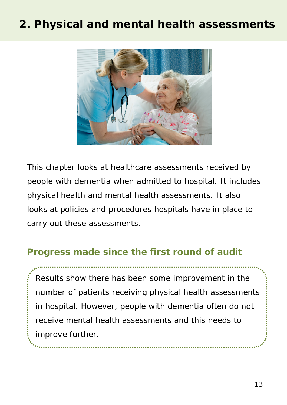# **2. Physical and mental health assessments**



This chapter looks at healthcare assessments received by people with dementia when admitted to hospital. It includes physical health and mental health assessments. It also looks at policies and procedures hospitals have in place to carry out these assessments.

#### **Progress made since the first round of audit**

Results show there has been some improvement in the number of patients receiving physical health assessments in hospital. However, people with dementia often do not receive mental health assessments and this needs to improve further.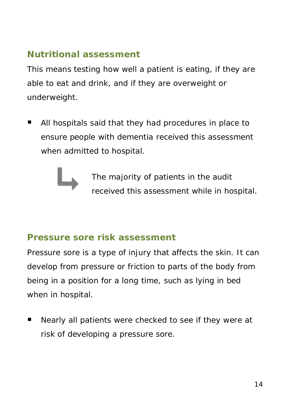#### **Nutritional assessment**

This means testing how well a patient is eating, if they are able to eat and drink, and if they are overweight or underweight.

■ All hospitals said that they had procedures in place to ensure people with dementia received this assessment when admitted to hospital.

> The majority of patients in the audit received this assessment while in hospital.

#### **Pressure sore risk assessment**

Pressure sore is a type of injury that affects the skin. It can develop from pressure or friction to parts of the body from being in a position for a long time, such as lying in bed when in hospital.

■ Nearly all patients were checked to see if they were at risk of developing a pressure sore.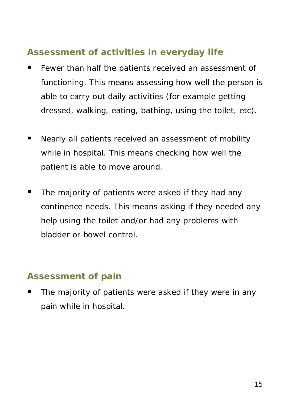### **Assessment of activities in everyday life**

- **Fewer than half the patients received an assessment of** functioning. This means assessing how well the person is able to carry out daily activities (for example getting dressed, walking, eating, bathing, using the toilet, etc).
- Nearly all patients received an assessment of mobility while in hospital. This means checking how well the patient is able to move around.
- **The majority of patients were asked if they had any** continence needs. This means asking if they needed any help using the toilet and/or had any problems with bladder or bowel control.

#### **Assessment of pain**

■ The majority of patients were asked if they were in any pain while in hospital.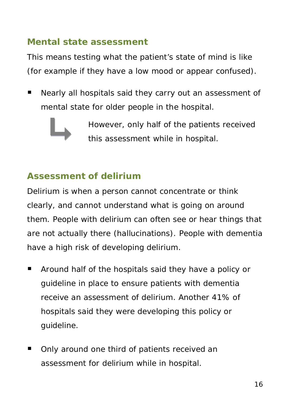#### **Mental state assessment**

This means testing what the patient's state of mind is like (for example if they have a low mood or appear confused).

**Nearly all hospitals said they carry out an assessment of** mental state for older people in the hospital.



However, only half of the patients received this assessment while in hospital.

### **Assessment of delirium**

Delirium is when a person cannot concentrate or think clearly, and cannot understand what is going on around them. People with delirium can often see or hear things that are not actually there (hallucinations). People with dementia have a high risk of developing delirium.

- **Around half of the hospitals said they have a policy or** guideline in place to ensure patients with dementia receive an assessment of delirium. Another 41% of hospitals said they were developing this policy or guideline.
- Only around one third of patients received an assessment for delirium while in hospital.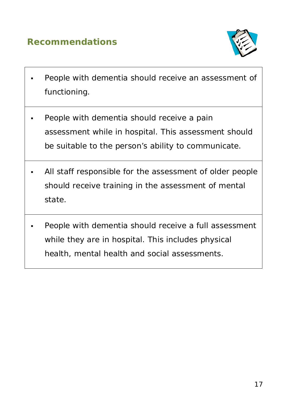### **Recommendations**



- People with dementia should receive an assessment of functioning.
- People with dementia should receive a pain assessment while in hospital. This assessment should be suitable to the person's ability to communicate.
- All staff responsible for the assessment of older people should receive training in the assessment of mental state.
- People with dementia should receive a full assessment while they are in hospital. This includes physical health, mental health and social assessments.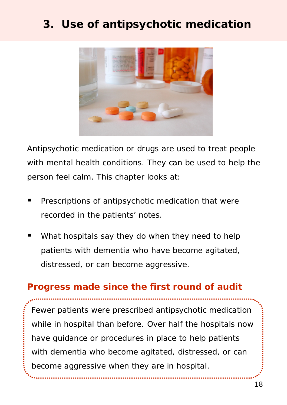# **3. Use of antipsychotic medication**



Antipsychotic medication or drugs are used to treat people with mental health conditions. They can be used to help the person feel calm. This chapter looks at:

- **Prescriptions of antipsychotic medication that were** recorded in the patients' notes.
- What hospitals say they do when they need to help patients with dementia who have become agitated, distressed, or can become aggressive.

#### **Progress made since the first round of audit**

Fewer patients were prescribed antipsychotic medication while in hospital than before. Over half the hospitals now have guidance or procedures in place to help patients with dementia who become agitated, distressed, or can become aggressive when they are in hospital.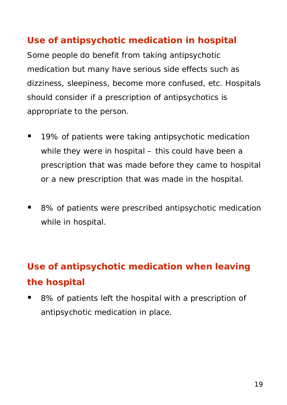#### **Use of antipsychotic medication in hospital**

Some people do benefit from taking antipsychotic medication but many have serious side effects such as dizziness, sleepiness, become more confused, etc. Hospitals should consider if a prescription of antipsychotics is appropriate to the person.

- 19% of patients were taking antipsychotic medication while they were in hospital – this could have been a prescription that was made before they came to hospital or a new prescription that was made in the hospital.
- 8% of patients were prescribed antipsychotic medication while in hospital.

# **Use of antipsychotic medication when leaving the hospital**

■ 8% of patients left the hospital with a prescription of antipsychotic medication in place.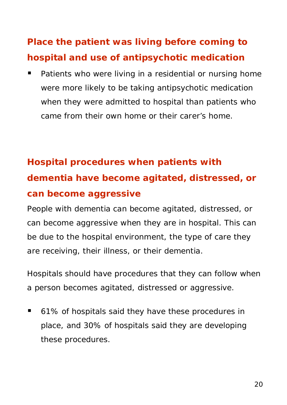# **Place the patient was living before coming to hospital and use of antipsychotic medication**

 Patients who were living in a residential or nursing home were more likely to be taking antipsychotic medication when they were admitted to hospital than patients who came from their own home or their carer's home.

# **Hospital procedures when patients with dementia have become agitated, distressed, or can become aggressive**

People with dementia can become agitated, distressed, or can become aggressive when they are in hospital. This can be due to the hospital environment, the type of care they are receiving, their illness, or their dementia.

Hospitals should have procedures that they can follow when a person becomes agitated, distressed or aggressive.

■ 61% of hospitals said they have these procedures in place, and 30% of hospitals said they are developing these procedures.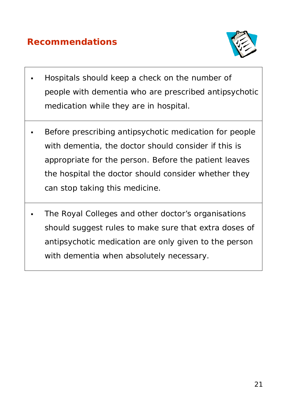### **Recommendations**



- Hospitals should keep a check on the number of people with dementia who are prescribed antipsychotic medication while they are in hospital.
- Before prescribing antipsychotic medication for people with dementia, the doctor should consider if this is appropriate for the person. Before the patient leaves the hospital the doctor should consider whether they can stop taking this medicine.
- The Royal Colleges and other doctor's organisations should suggest rules to make sure that extra doses of antipsychotic medication are only given to the person with dementia when absolutely necessary.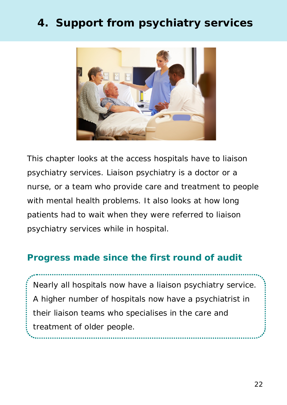# **4. Support from psychiatry services**



This chapter looks at the access hospitals have to liaison psychiatry services. Liaison psychiatry is a doctor or a nurse, or a team who provide care and treatment to people with mental health problems. It also looks at how long patients had to wait when they were referred to liaison psychiatry services while in hospital.

#### **Progress made since the first round of audit**

Nearly all hospitals now have a liaison psychiatry service. A higher number of hospitals now have a psychiatrist in their liaison teams who specialises in the care and treatment of older people.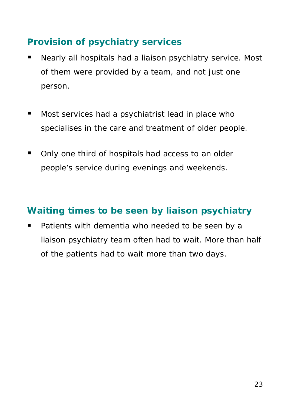### **Provision of psychiatry services**

- **Nearly all hospitals had a liaison psychiatry service. Most** of them were provided by a team, and not just one person.
- **Most services had a psychiatrist lead in place who** specialises in the care and treatment of older people.
- Only one third of hospitals had access to an older people's service during evenings and weekends.

### **Waiting times to be seen by liaison psychiatry**

**Patients with dementia who needed to be seen by a** liaison psychiatry team often had to wait. More than half of the patients had to wait more than two days.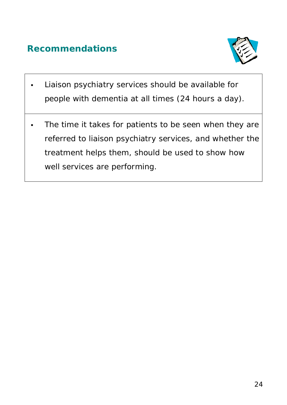## **Recommendations**



- Liaison psychiatry services should be available for people with dementia at all times (24 hours a day).
- The time it takes for patients to be seen when they are referred to liaison psychiatry services, and whether the treatment helps them, should be used to show how well services are performing.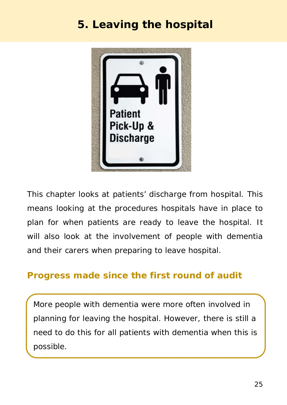# **5. Leaving the hospital**



This chapter looks at patients' discharge from hospital. This means looking at the procedures hospitals have in place to plan for when patients are ready to leave the hospital. It will also look at the involvement of people with dementia and their carers when preparing to leave hospital.

#### **Progress made since the first round of audit**

More people with dementia were more often involved in planning for leaving the hospital. However, there is still a need to do this for all patients with dementia when this is possible.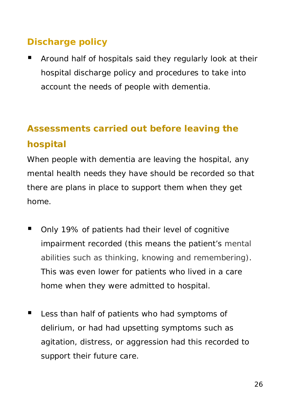## **Discharge policy**

**E** Around half of hospitals said they regularly look at their hospital discharge policy and procedures to take into account the needs of people with dementia.

# **Assessments carried out before leaving the hospital**

When people with dementia are leaving the hospital, any mental health needs they have should be recorded so that there are plans in place to support them when they get home.

- Only 19% of patients had their level of cognitive impairment recorded (this means the patient's mental abilities such as thinking, knowing and remembering). This was even lower for patients who lived in a care home when they were admitted to hospital.
- Less than half of patients who had symptoms of delirium, or had had upsetting symptoms such as agitation, distress, or aggression had this recorded to support their future care.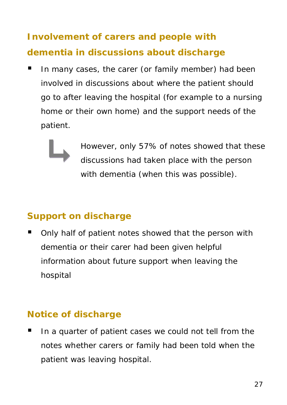# **Involvement of carers and people with dementia in discussions about discharge**

In many cases, the carer (or family member) had been involved in discussions about where the patient should go to after leaving the hospital (for example to a nursing home or their own home) and the support needs of the patient.



However, only 57% of notes showed that these discussions had taken place with the person with dementia (when this was possible).

### **Support on discharge**

• Only half of patient notes showed that the person with dementia or their carer had been given helpful information about future support when leaving the hospital

#### **Notice of discharge**

If a quarter of patient cases we could not tell from the notes whether carers or family had been told when the patient was leaving hospital.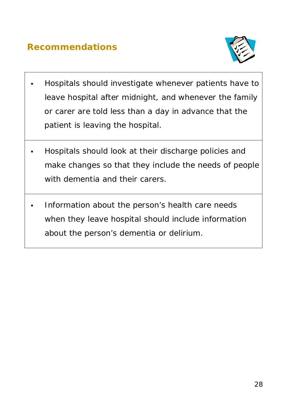### **Recommendations**



- Hospitals should investigate whenever patients have to leave hospital after midnight, and whenever the family or carer are told less than a day in advance that the patient is leaving the hospital.
- Hospitals should look at their discharge policies and make changes so that they include the needs of people with dementia and their carers.
- Information about the person's health care needs when they leave hospital should include information about the person's dementia or delirium.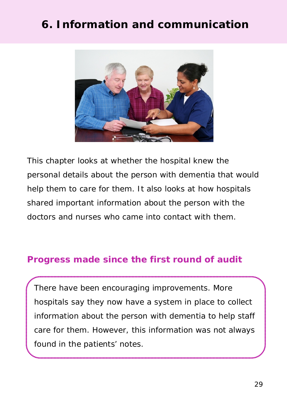# **6. Information and communication**



This chapter looks at whether the hospital knew the personal details about the person with dementia that would help them to care for them. It also looks at how hospitals shared important information about the person with the doctors and nurses who came into contact with them.

#### **Progress made since the first round of audit**

There have been encouraging improvements. More hospitals say they now have a system in place to collect information about the person with dementia to help staff care for them. However, this information was not always found in the patients' notes.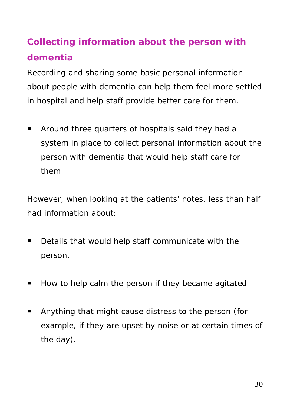# **Collecting information about the person with dementia**

Recording and sharing some basic personal information about people with dementia can help them feel more settled in hospital and help staff provide better care for them.

**EXTER** Around three quarters of hospitals said they had a system in place to collect personal information about the person with dementia that would help staff care for them.

However, when looking at the patients' notes, less than half had information about:

- **Details that would help staff communicate with the** person.
- How to help calm the person if they became agitated.
- Anything that might cause distress to the person (for example, if they are upset by noise or at certain times of the day).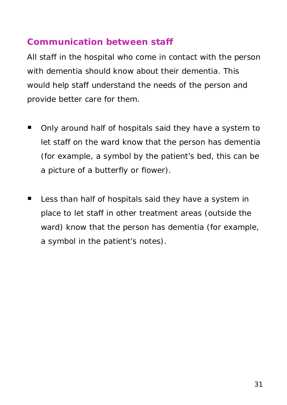#### **Communication between staff**

All staff in the hospital who come in contact with the person with dementia should know about their dementia. This would help staff understand the needs of the person and provide better care for them.

- Only around half of hospitals said they have a system to let staff on the ward know that the person has dementia (for example, a symbol by the patient's bed, this can be a picture of a butterfly or flower).
- **Less than half of hospitals said they have a system in** place to let staff in other treatment areas (outside the ward) know that the person has dementia (for example, a symbol in the patient's notes).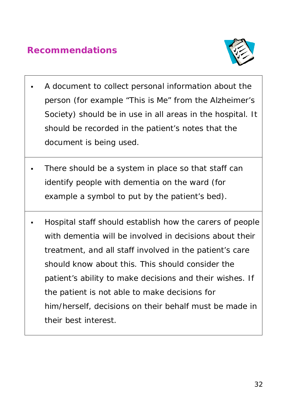### **Recommendations**



- A document to collect personal information about the person (for example "This is Me" from the Alzheimer's Society) should be in use in all areas in the hospital. It should be recorded in the patient's notes that the document is being used.
- There should be a system in place so that staff can identify people with dementia on the ward (for example a symbol to put by the patient's bed).
- Hospital staff should establish how the carers of people with dementia will be involved in decisions about their treatment, and all staff involved in the patient's care should know about this. This should consider the patient's ability to make decisions and their wishes. If the patient is not able to make decisions for him/herself, decisions on their behalf must be made in their best interest.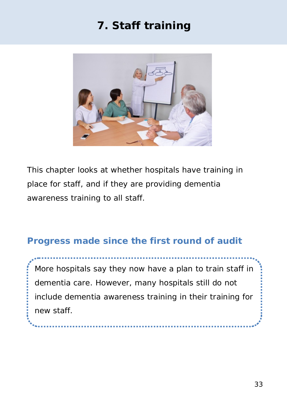# **7. Staff training**



This chapter looks at whether hospitals have training in place for staff, and if they are providing dementia awareness training to all staff.

### **Progress made since the first round of audit**

- 『『『『『『『』

More hospitals say they now have a plan to train staff in dementia care. However, many hospitals still do not include dementia awareness training in their training for new staff.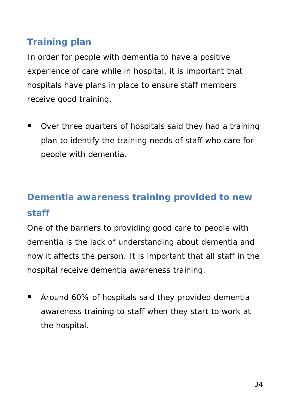## **Training plan**

In order for people with dementia to have a positive experience of care while in hospital, it is important that hospitals have plans in place to ensure staff members receive good training.

■ Over three quarters of hospitals said they had a training plan to identify the training needs of staff who care for people with dementia.

# **Dementia awareness training provided to new staff**

One of the barriers to providing good care to people with dementia is the lack of understanding about dementia and how it affects the person. It is important that all staff in the hospital receive dementia awareness training.

**Around 60% of hospitals said they provided dementially** awareness training to staff when they start to work at the hospital.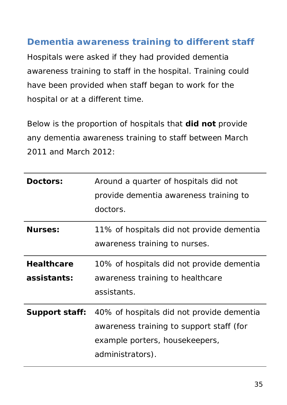#### **Dementia awareness training to different staff**

Hospitals were asked if they had provided dementia awareness training to staff in the hospital. Training could have been provided when staff began to work for the hospital or at a different time.

Below is the proportion of hospitals that **did not** provide any dementia awareness training to staff between March 2011 and March 2012:

| <b>Doctors:</b>   | Around a quarter of hospitals did not     |  |
|-------------------|-------------------------------------------|--|
|                   | provide dementia awareness training to    |  |
|                   | doctors.                                  |  |
| <b>Nurses:</b>    | 11% of hospitals did not provide dementia |  |
|                   | awareness training to nurses.             |  |
| <b>Healthcare</b> | 10% of hospitals did not provide dementia |  |
| assistants:       | awareness training to healthcare          |  |
|                   | assistants.                               |  |
| Support staff:    | 40% of hospitals did not provide dementia |  |
|                   | awareness training to support staff (for  |  |
|                   | example porters, housekeepers,            |  |
|                   | administrators).                          |  |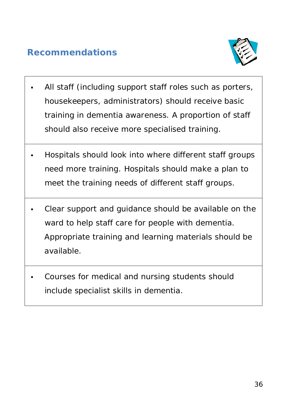### **Recommendations**



- All staff (including support staff roles such as porters, housekeepers, administrators) should receive basic training in dementia awareness. A proportion of staff should also receive more specialised training.
- Hospitals should look into where different staff groups need more training. Hospitals should make a plan to meet the training needs of different staff groups.
- Clear support and guidance should be available on the ward to help staff care for people with dementia. Appropriate training and learning materials should be available.
- Courses for medical and nursing students should include specialist skills in dementia.